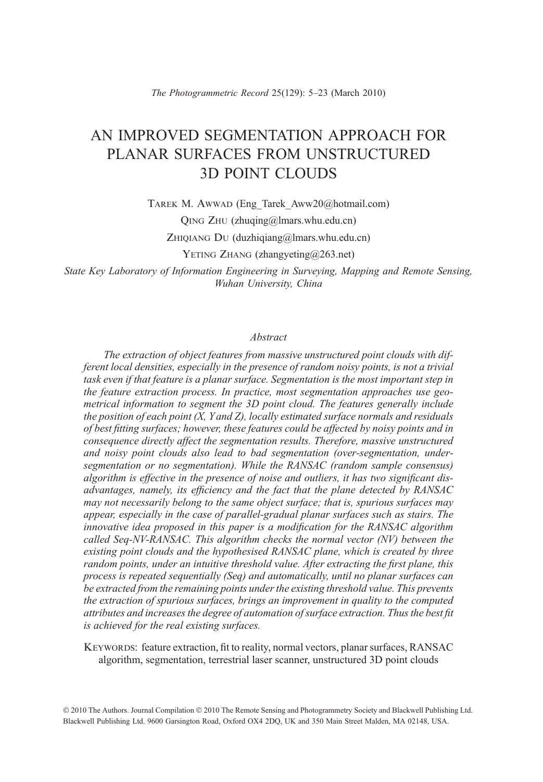# AN IMPROVED SEGMENTATION APPROACH FOR PLANAR SURFACES FROM UNSTRUCTURED 3D POINT CLOUDS

TAREK M. AWWAD (Eng\_Tarek\_Aww20@hotmail.com)

Qing Zhu (zhuqing@lmars.whu.edu.cn)

ZHIQIANG DU (duzhiqiang@lmars.whu.edu.cn)

YETING ZHANG (zhangyeting@263.net)

State Key Laboratory of Information Engineering in Surveying, Mapping and Remote Sensing, Wuhan University, China

#### Abstract

The extraction of object features from massive unstructured point clouds with different local densities, especially in the presence of random noisy points, is not a trivial task even if that feature is a planar surface. Segmentation is the most important step in the feature extraction process. In practice, most segmentation approaches use geometrical information to segment the 3D point cloud. The features generally include the position of each point  $(X, Y$  and  $Z)$ , locally estimated surface normals and residuals of best fitting surfaces; however, these features could be affected by noisy points and in consequence directly affect the segmentation results. Therefore, massive unstructured and noisy point clouds also lead to bad segmentation (over-segmentation, undersegmentation or no segmentation). While the RANSAC (random sample consensus) algorithm is effective in the presence of noise and outliers, it has two significant disadvantages, namely, its efficiency and the fact that the plane detected by RANSAC may not necessarily belong to the same object surface; that is, spurious surfaces may appear, especially in the case of parallel-gradual planar surfaces such as stairs. The innovative idea proposed in this paper is a modification for the RANSAC algorithm called Seq-NV-RANSAC. This algorithm checks the normal vector (NV) between the existing point clouds and the hypothesised RANSAC plane, which is created by three random points, under an intuitive threshold value. After extracting the first plane, this process is repeated sequentially (Seq) and automatically, until no planar surfaces can be extracted from the remaining points under the existing threshold value. This prevents the extraction of spurious surfaces, brings an improvement in quality to the computed attributes and increases the degree of automation of surface extraction. Thus the best fit is achieved for the real existing surfaces.

KEYWORDS: feature extraction, fit to reality, normal vectors, planar surfaces, RANSAC algorithm, segmentation, terrestrial laser scanner, unstructured 3D point clouds

© 2010 The Authors. Journal Compilation © 2010 The Remote Sensing and Photogrammetry Society and Blackwell Publishing Ltd. Blackwell Publishing Ltd. 9600 Garsington Road, Oxford OX4 2DQ, UK and 350 Main Street Malden, MA 02148, USA.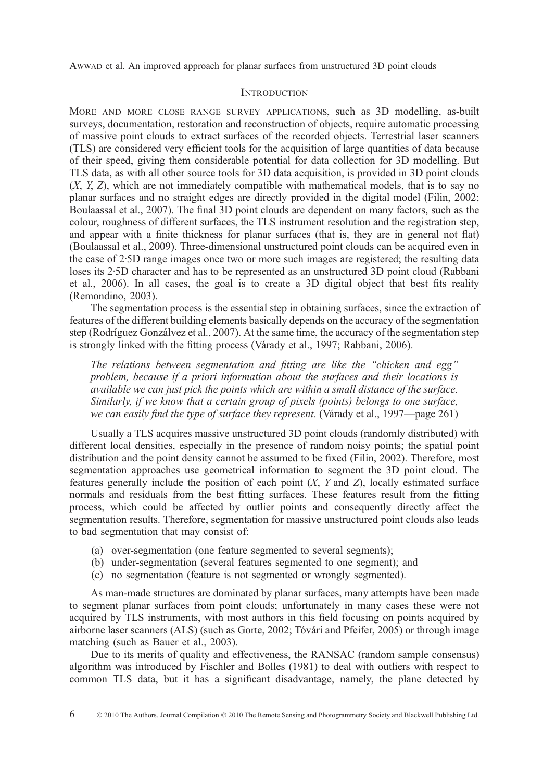## **INTRODUCTION**

More and more close range survey applications, such as 3D modelling, as-built surveys, documentation, restoration and reconstruction of objects, require automatic processing of massive point clouds to extract surfaces of the recorded objects. Terrestrial laser scanners (TLS) are considered very efficient tools for the acquisition of large quantities of data because of their speed, giving them considerable potential for data collection for 3D modelling. But TLS data, as with all other source tools for 3D data acquisition, is provided in 3D point clouds  $(X, Y, Z)$ , which are not immediately compatible with mathematical models, that is to say no planar surfaces and no straight edges are directly provided in the digital model (Filin, 2002; Boulaassal et al., 2007). The final 3D point clouds are dependent on many factors, such as the colour, roughness of different surfaces, the TLS instrument resolution and the registration step, and appear with a finite thickness for planar surfaces (that is, they are in general not flat) (Boulaassal et al., 2009). Three-dimensional unstructured point clouds can be acquired even in the case of  $2.5D$  range images once two or more such images are registered; the resulting data loses its 2.5D character and has to be represented as an unstructured 3D point cloud (Rabbani et al., 2006). In all cases, the goal is to create a 3D digital object that best fits reality (Remondino, 2003).

The segmentation process is the essential step in obtaining surfaces, since the extraction of features of the different building elements basically depends on the accuracy of the segmentation step (Rodríguez Gonzálvez et al., 2007). At the same time, the accuracy of the segmentation step is strongly linked with the fitting process (Várady et al., 1997; Rabbani, 2006).

The relations between segmentation and fitting are like the ''chicken and egg'' problem, because if a priori information about the surfaces and their locations is available we can just pick the points which are within a small distance of the surface. Similarly, if we know that a certain group of pixels (points) belongs to one surface, we can easily find the type of surface they represent. (Várady et al., 1997—page 261)

Usually a TLS acquires massive unstructured 3D point clouds (randomly distributed) with different local densities, especially in the presence of random noisy points; the spatial point distribution and the point density cannot be assumed to be fixed (Filin, 2002). Therefore, most segmentation approaches use geometrical information to segment the 3D point cloud. The features generally include the position of each point  $(X, Y, Z)$ , locally estimated surface normals and residuals from the best fitting surfaces. These features result from the fitting process, which could be affected by outlier points and consequently directly affect the segmentation results. Therefore, segmentation for massive unstructured point clouds also leads to bad segmentation that may consist of:

- (a) over-segmentation (one feature segmented to several segments);
- (b) under-segmentation (several features segmented to one segment); and
- (c) no segmentation (feature is not segmented or wrongly segmented).

As man-made structures are dominated by planar surfaces, many attempts have been made to segment planar surfaces from point clouds; unfortunately in many cases these were not acquired by TLS instruments, with most authors in this field focusing on points acquired by airborne laser scanners (ALS) (such as Gorte, 2002; Tóvári and Pfeifer, 2005) or through image matching (such as Bauer et al., 2003).

Due to its merits of quality and effectiveness, the RANSAC (random sample consensus) algorithm was introduced by Fischler and Bolles (1981) to deal with outliers with respect to common TLS data, but it has a significant disadvantage, namely, the plane detected by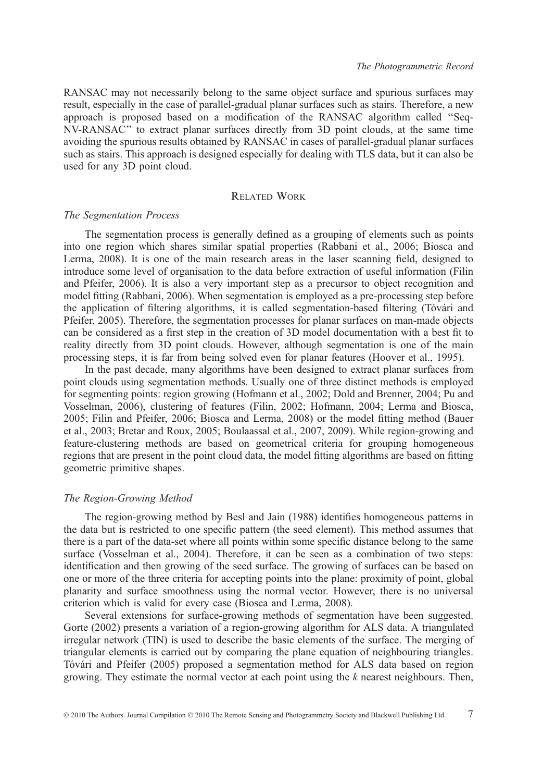RANSAC may not necessarily belong to the same object surface and spurious surfaces may result, especially in the case of parallel-gradual planar surfaces such as stairs. Therefore, a new approach is proposed based on a modification of the RANSAC algorithm called ''Seq-NV-RANSAC'' to extract planar surfaces directly from 3D point clouds, at the same time avoiding the spurious results obtained by RANSAC in cases of parallel-gradual planar surfaces such as stairs. This approach is designed especially for dealing with TLS data, but it can also be used for any 3D point cloud.

# Related Work

#### The Segmentation Process

The segmentation process is generally defined as a grouping of elements such as points into one region which shares similar spatial properties (Rabbani et al., 2006; Biosca and Lerma, 2008). It is one of the main research areas in the laser scanning field, designed to introduce some level of organisation to the data before extraction of useful information (Filin and Pfeifer, 2006). It is also a very important step as a precursor to object recognition and model fitting (Rabbani, 2006). When segmentation is employed as a pre-processing step before the application of filtering algorithms, it is called segmentation-based filtering (Tóvári and Pfeifer, 2005). Therefore, the segmentation processes for planar surfaces on man-made objects can be considered as a first step in the creation of 3D model documentation with a best fit to reality directly from 3D point clouds. However, although segmentation is one of the main processing steps, it is far from being solved even for planar features (Hoover et al., 1995).

In the past decade, many algorithms have been designed to extract planar surfaces from point clouds using segmentation methods. Usually one of three distinct methods is employed for segmenting points: region growing (Hofmann et al., 2002; Dold and Brenner, 2004; Pu and Vosselman, 2006), clustering of features (Filin, 2002; Hofmann, 2004; Lerma and Biosca, 2005; Filin and Pfeifer, 2006; Biosca and Lerma, 2008) or the model fitting method (Bauer et al., 2003; Bretar and Roux, 2005; Boulaassal et al., 2007, 2009). While region-growing and feature-clustering methods are based on geometrical criteria for grouping homogeneous regions that are present in the point cloud data, the model fitting algorithms are based on fitting geometric primitive shapes.

### The Region-Growing Method

The region-growing method by Besl and Jain (1988) identifies homogeneous patterns in the data but is restricted to one specific pattern (the seed element). This method assumes that there is a part of the data-set where all points within some specific distance belong to the same surface (Vosselman et al., 2004). Therefore, it can be seen as a combination of two steps: identification and then growing of the seed surface. The growing of surfaces can be based on one or more of the three criteria for accepting points into the plane: proximity of point, global planarity and surface smoothness using the normal vector. However, there is no universal criterion which is valid for every case (Biosca and Lerma, 2008).

Several extensions for surface-growing methods of segmentation have been suggested. Gorte (2002) presents a variation of a region-growing algorithm for ALS data. A triangulated irregular network (TIN) is used to describe the basic elements of the surface. The merging of triangular elements is carried out by comparing the plane equation of neighbouring triangles. Tóvári and Pfeifer (2005) proposed a segmentation method for ALS data based on region growing. They estimate the normal vector at each point using the  $k$  nearest neighbours. Then,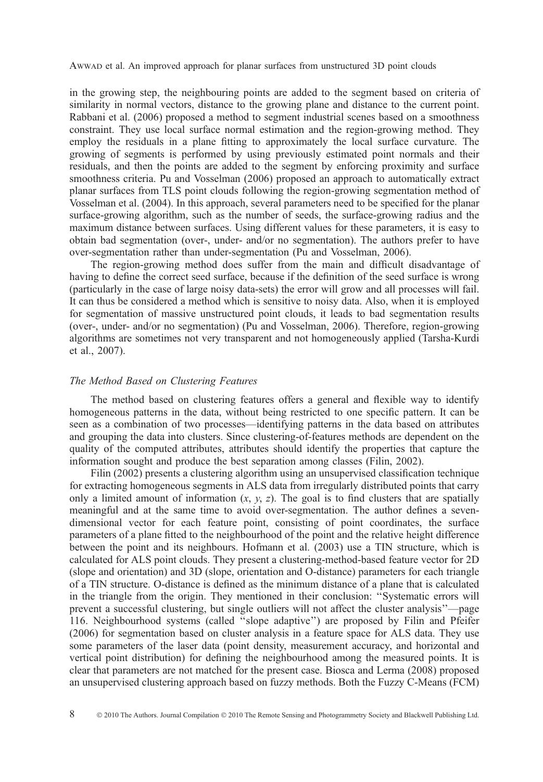in the growing step, the neighbouring points are added to the segment based on criteria of similarity in normal vectors, distance to the growing plane and distance to the current point. Rabbani et al. (2006) proposed a method to segment industrial scenes based on a smoothness constraint. They use local surface normal estimation and the region-growing method. They employ the residuals in a plane fitting to approximately the local surface curvature. The growing of segments is performed by using previously estimated point normals and their residuals, and then the points are added to the segment by enforcing proximity and surface smoothness criteria. Pu and Vosselman (2006) proposed an approach to automatically extract planar surfaces from TLS point clouds following the region-growing segmentation method of Vosselman et al. (2004). In this approach, several parameters need to be specified for the planar surface-growing algorithm, such as the number of seeds, the surface-growing radius and the maximum distance between surfaces. Using different values for these parameters, it is easy to obtain bad segmentation (over-, under- and/or no segmentation). The authors prefer to have over-segmentation rather than under-segmentation (Pu and Vosselman, 2006).

The region-growing method does suffer from the main and difficult disadvantage of having to define the correct seed surface, because if the definition of the seed surface is wrong (particularly in the case of large noisy data-sets) the error will grow and all processes will fail. It can thus be considered a method which is sensitive to noisy data. Also, when it is employed for segmentation of massive unstructured point clouds, it leads to bad segmentation results (over-, under- and/or no segmentation) (Pu and Vosselman, 2006). Therefore, region-growing algorithms are sometimes not very transparent and not homogeneously applied (Tarsha-Kurdi et al., 2007).

# The Method Based on Clustering Features

The method based on clustering features offers a general and flexible way to identify homogeneous patterns in the data, without being restricted to one specific pattern. It can be seen as a combination of two processes—identifying patterns in the data based on attributes and grouping the data into clusters. Since clustering-of-features methods are dependent on the quality of the computed attributes, attributes should identify the properties that capture the information sought and produce the best separation among classes (Filin, 2002).

Filin (2002) presents a clustering algorithm using an unsupervised classification technique for extracting homogeneous segments in ALS data from irregularly distributed points that carry only a limited amount of information  $(x, y, z)$ . The goal is to find clusters that are spatially meaningful and at the same time to avoid over-segmentation. The author defines a sevendimensional vector for each feature point, consisting of point coordinates, the surface parameters of a plane fitted to the neighbourhood of the point and the relative height difference between the point and its neighbours. Hofmann et al. (2003) use a TIN structure, which is calculated for ALS point clouds. They present a clustering-method-based feature vector for 2D (slope and orientation) and 3D (slope, orientation and O-distance) parameters for each triangle of a TIN structure. O-distance is defined as the minimum distance of a plane that is calculated in the triangle from the origin. They mentioned in their conclusion: ''Systematic errors will prevent a successful clustering, but single outliers will not affect the cluster analysis''—page 116. Neighbourhood systems (called ''slope adaptive'') are proposed by Filin and Pfeifer (2006) for segmentation based on cluster analysis in a feature space for ALS data. They use some parameters of the laser data (point density, measurement accuracy, and horizontal and vertical point distribution) for defining the neighbourhood among the measured points. It is clear that parameters are not matched for the present case. Biosca and Lerma (2008) proposed an unsupervised clustering approach based on fuzzy methods. Both the Fuzzy C-Means (FCM)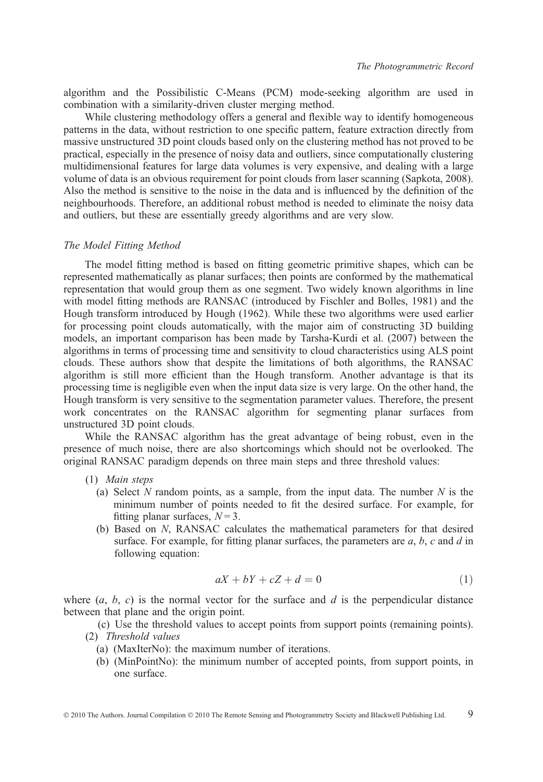algorithm and the Possibilistic C-Means (PCM) mode-seeking algorithm are used in combination with a similarity-driven cluster merging method.

While clustering methodology offers a general and flexible way to identify homogeneous patterns in the data, without restriction to one specific pattern, feature extraction directly from massive unstructured 3D point clouds based only on the clustering method has not proved to be practical, especially in the presence of noisy data and outliers, since computationally clustering multidimensional features for large data volumes is very expensive, and dealing with a large volume of data is an obvious requirement for point clouds from laser scanning (Sapkota, 2008). Also the method is sensitive to the noise in the data and is influenced by the definition of the neighbourhoods. Therefore, an additional robust method is needed to eliminate the noisy data and outliers, but these are essentially greedy algorithms and are very slow.

## The Model Fitting Method

The model fitting method is based on fitting geometric primitive shapes, which can be represented mathematically as planar surfaces; then points are conformed by the mathematical representation that would group them as one segment. Two widely known algorithms in line with model fitting methods are RANSAC (introduced by Fischler and Bolles, 1981) and the Hough transform introduced by Hough (1962). While these two algorithms were used earlier for processing point clouds automatically, with the major aim of constructing 3D building models, an important comparison has been made by Tarsha-Kurdi et al. (2007) between the algorithms in terms of processing time and sensitivity to cloud characteristics using ALS point clouds. These authors show that despite the limitations of both algorithms, the RANSAC algorithm is still more efficient than the Hough transform. Another advantage is that its processing time is negligible even when the input data size is very large. On the other hand, the Hough transform is very sensitive to the segmentation parameter values. Therefore, the present work concentrates on the RANSAC algorithm for segmenting planar surfaces from unstructured 3D point clouds.

While the RANSAC algorithm has the great advantage of being robust, even in the presence of much noise, there are also shortcomings which should not be overlooked. The original RANSAC paradigm depends on three main steps and three threshold values:

- (1) Main steps
	- (a) Select N random points, as a sample, from the input data. The number  $N$  is the minimum number of points needed to fit the desired surface. For example, for fitting planar surfaces,  $N = 3$ .
	- (b) Based on N, RANSAC calculates the mathematical parameters for that desired surface. For example, for fitting planar surfaces, the parameters are  $a, b, c$  and  $d$  in following equation:

$$
aX + bY + cZ + d = 0 \tag{1}
$$

where  $(a, b, c)$  is the normal vector for the surface and d is the perpendicular distance between that plane and the origin point.

(c) Use the threshold values to accept points from support points (remaining points). (2) Threshold values

- (a) (MaxIterNo): the maximum number of iterations.
- (b) (MinPointNo): the minimum number of accepted points, from support points, in one surface.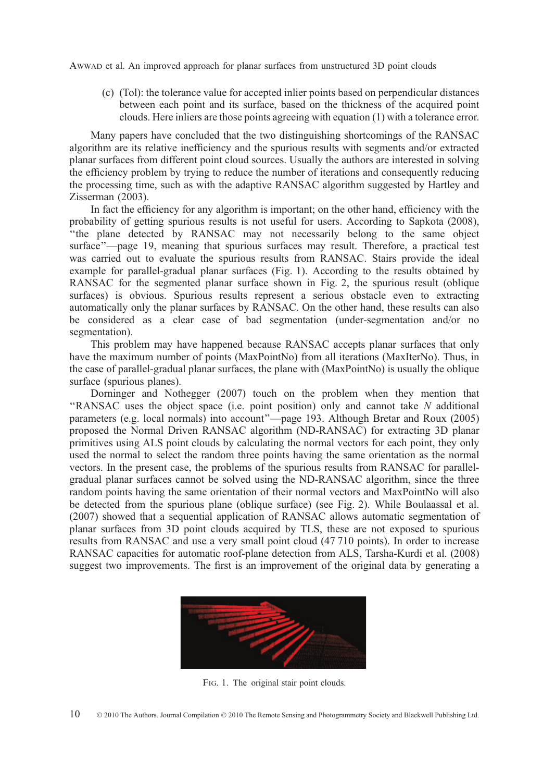(c) (Tol): the tolerance value for accepted inlier points based on perpendicular distances between each point and its surface, based on the thickness of the acquired point clouds. Here inliers are those points agreeing with equation (1) with a tolerance error.

Many papers have concluded that the two distinguishing shortcomings of the RANSAC algorithm are its relative inefficiency and the spurious results with segments and/or extracted planar surfaces from different point cloud sources. Usually the authors are interested in solving the efficiency problem by trying to reduce the number of iterations and consequently reducing the processing time, such as with the adaptive RANSAC algorithm suggested by Hartley and Zisserman (2003).

In fact the efficiency for any algorithm is important; on the other hand, efficiency with the probability of getting spurious results is not useful for users. According to Sapkota (2008), ''the plane detected by RANSAC may not necessarily belong to the same object surface''—page 19, meaning that spurious surfaces may result. Therefore, a practical test was carried out to evaluate the spurious results from RANSAC. Stairs provide the ideal example for parallel-gradual planar surfaces (Fig. 1). According to the results obtained by RANSAC for the segmented planar surface shown in Fig. 2, the spurious result (oblique surfaces) is obvious. Spurious results represent a serious obstacle even to extracting automatically only the planar surfaces by RANSAC. On the other hand, these results can also be considered as a clear case of bad segmentation (under-segmentation and/or no segmentation).

This problem may have happened because RANSAC accepts planar surfaces that only have the maximum number of points (MaxPointNo) from all iterations (MaxIterNo). Thus, in the case of parallel-gradual planar surfaces, the plane with (MaxPointNo) is usually the oblique surface (spurious planes).

Dorninger and Nothegger (2007) touch on the problem when they mention that "RANSAC uses the object space (i.e. point position) only and cannot take  $N$  additional parameters (e.g. local normals) into account''—page 193. Although Bretar and Roux (2005) proposed the Normal Driven RANSAC algorithm (ND-RANSAC) for extracting 3D planar primitives using ALS point clouds by calculating the normal vectors for each point, they only used the normal to select the random three points having the same orientation as the normal vectors. In the present case, the problems of the spurious results from RANSAC for parallelgradual planar surfaces cannot be solved using the ND-RANSAC algorithm, since the three random points having the same orientation of their normal vectors and MaxPointNo will also be detected from the spurious plane (oblique surface) (see Fig. 2). While Boulaassal et al. (2007) showed that a sequential application of RANSAC allows automatic segmentation of planar surfaces from 3D point clouds acquired by TLS, these are not exposed to spurious results from RANSAC and use a very small point cloud (47 710 points). In order to increase RANSAC capacities for automatic roof-plane detection from ALS, Tarsha-Kurdi et al. (2008) suggest two improvements. The first is an improvement of the original data by generating a



Fig. 1. The original stair point clouds.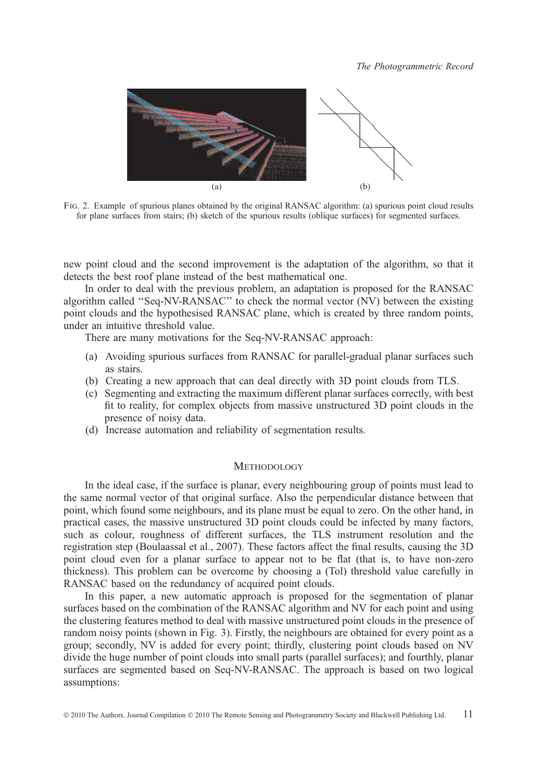

Fig. 2. Example of spurious planes obtained by the original RANSAC algorithm: (a) spurious point cloud results for plane surfaces from stairs; (b) sketch of the spurious results (oblique surfaces) for segmented surfaces.

new point cloud and the second improvement is the adaptation of the algorithm, so that it detects the best roof plane instead of the best mathematical one.

In order to deal with the previous problem, an adaptation is proposed for the RANSAC algorithm called ''Seq-NV-RANSAC'' to check the normal vector (NV) between the existing point clouds and the hypothesised RANSAC plane, which is created by three random points, under an intuitive threshold value.

There are many motivations for the Seq-NV-RANSAC approach:

- (a) Avoiding spurious surfaces from RANSAC for parallel-gradual planar surfaces such as stairs.
- (b) Creating a new approach that can deal directly with 3D point clouds from TLS.
- (c) Segmenting and extracting the maximum different planar surfaces correctly, with best fit to reality, for complex objects from massive unstructured 3D point clouds in the presence of noisy data.
- (d) Increase automation and reliability of segmentation results.

#### METHODOLOGY

In the ideal case, if the surface is planar, every neighbouring group of points must lead to the same normal vector of that original surface. Also the perpendicular distance between that point, which found some neighbours, and its plane must be equal to zero. On the other hand, in practical cases, the massive unstructured 3D point clouds could be infected by many factors, such as colour, roughness of different surfaces, the TLS instrument resolution and the registration step (Boulaassal et al., 2007). These factors affect the final results, causing the 3D point cloud even for a planar surface to appear not to be flat (that is, to have non-zero thickness). This problem can be overcome by choosing a (Tol) threshold value carefully in RANSAC based on the redundancy of acquired point clouds.

In this paper, a new automatic approach is proposed for the segmentation of planar surfaces based on the combination of the RANSAC algorithm and NV for each point and using the clustering features method to deal with massive unstructured point clouds in the presence of random noisy points (shown in Fig. 3). Firstly, the neighbours are obtained for every point as a group; secondly, NV is added for every point; thirdly, clustering point clouds based on NV divide the huge number of point clouds into small parts (parallel surfaces); and fourthly, planar surfaces are segmented based on Seq-NV-RANSAC. The approach is based on two logical assumptions: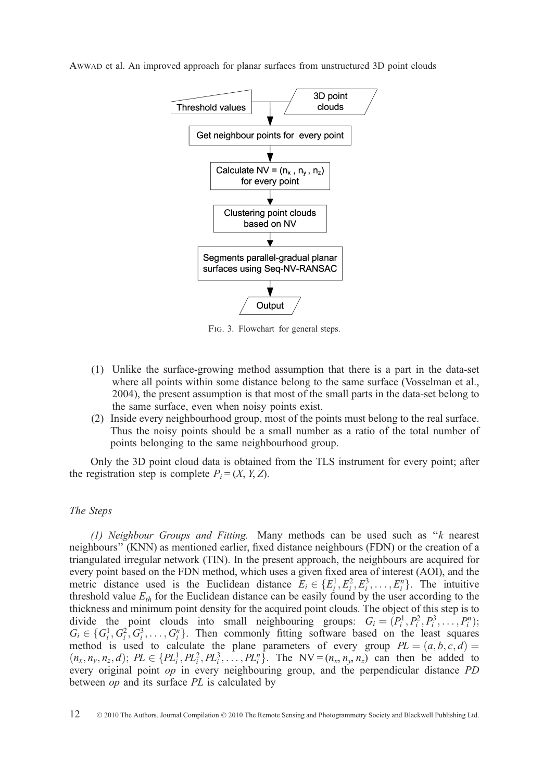

Fig. 3. Flowchart for general steps.

- (1) Unlike the surface-growing method assumption that there is a part in the data-set where all points within some distance belong to the same surface (Vosselman et al., 2004), the present assumption is that most of the small parts in the data-set belong to the same surface, even when noisy points exist.
- (2) Inside every neighbourhood group, most of the points must belong to the real surface. Thus the noisy points should be a small number as a ratio of the total number of points belonging to the same neighbourhood group.

Only the 3D point cloud data is obtained from the TLS instrument for every point; after the registration step is complete  $P_i = (X, Y, Z)$ .

# The Steps

(1) Neighbour Groups and Fitting. Many methods can be used such as " $k$  nearest neighbours'' (KNN) as mentioned earlier, fixed distance neighbours (FDN) or the creation of a triangulated irregular network (TIN). In the present approach, the neighbours are acquired for every point based on the FDN method, which uses a given fixed area of interest (AOI), and the metric distance used is the Euclidean distance  $E_i \in \{E_i^1, E_i^2, E_i^3, \dots, E_i^n\}$ . The intuitive threshold value  $E<sub>th</sub>$  for the Euclidean distance can be easily found by the user according to the thickness and minimum point density for the acquired point clouds. The object of this step is to divide the point clouds into small neighbouring groups:  $G_i = (P_i^1, P_i^2, P_i^3, \ldots, P_i^n);$  $G_i \in \{G_i^1, G_i^2, G_i^3, \ldots, G_i^n\}$ . Then commonly fitting software based on the least squares method is used to calculate the plane parameters of every group  $PL = (a, b, c, d)$  $(n_x, n_y, n_z, d)$ ;  $PL \in \{PL_i^1, PL_i^2, PL_i^3, \ldots, PL_i^n\}$ . The NV =  $(n_x, n_y, n_z)$  can then be added to every original point op in every neighbouring group, and the perpendicular distance PD between op and its surface PL is calculated by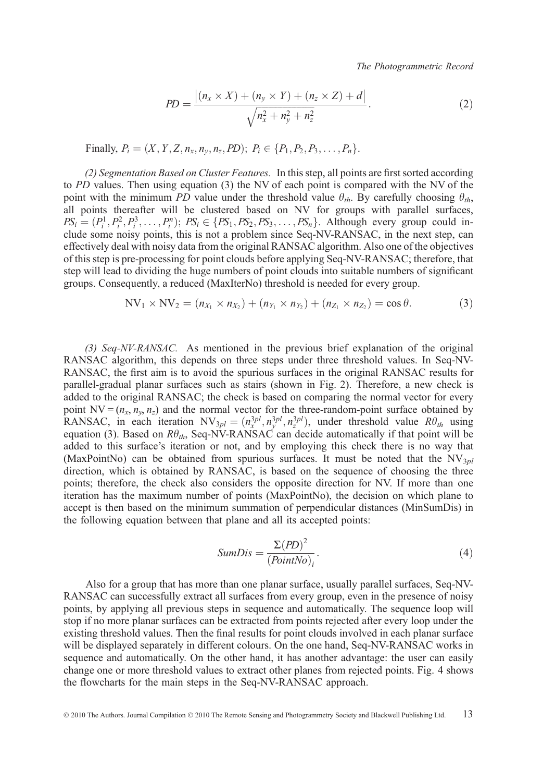The Photogrammetric Record

$$
PD = \frac{\left| (n_x \times X) + (n_y \times Y) + (n_z \times Z) + d \right|}{\sqrt{n_x^2 + n_y^2 + n_z^2}}.
$$
 (2)

Finally,  $P_i = (X, Y, Z, n_x, n_y, n_z, PD);$   $P_i \in \{P_1, P_2, P_3, \ldots, P_n\}.$ 

(2) Segmentation Based on Cluster Features. In this step, all points are first sorted according to PD values. Then using equation (3) the NV of each point is compared with the NV of the point with the minimum PD value under the threshold value  $\theta_{th}$ . By carefully choosing  $\theta_{th}$ , all points thereafter will be clustered based on NV for groups with parallel surfaces,  $PS_i = (P_i^1, P_i^2, P_i^3, \ldots, P_i^n); PS_i \in \{PS_1, PS_2, PS_3, \ldots, PS_n\}.$  Although every group could include some noisy points, this is not a problem since Seq-NV-RANSAC, in the next step, can effectively deal with noisy data from the original RANSAC algorithm. Also one of the objectives of this step is pre-processing for point clouds before applying Seq-NV-RANSAC; therefore, that step will lead to dividing the huge numbers of point clouds into suitable numbers of significant groups. Consequently, a reduced (MaxIterNo) threshold is needed for every group.

$$
NV_1 \times NV_2 = (n_{X_1} \times n_{X_2}) + (n_{Y_1} \times n_{Y_2}) + (n_{Z_1} \times n_{Z_2}) = \cos \theta.
$$
 (3)

(3) Seq-NV-RANSAC. As mentioned in the previous brief explanation of the original RANSAC algorithm, this depends on three steps under three threshold values. In Seq-NV-RANSAC, the first aim is to avoid the spurious surfaces in the original RANSAC results for parallel-gradual planar surfaces such as stairs (shown in Fig. 2). Therefore, a new check is added to the original RANSAC; the check is based on comparing the normal vector for every point  $NV = (n_x, n_y, n_z)$  and the normal vector for the three-random-point surface obtained by RANSAC, in each iteration  $NV_{3pl} = (n_x^{3pl}, n_y^{3pl}, n_z^{3pl})$ , under threshold value  $R\theta_{th}$  using equation (3). Based on  $R\theta_{th}$ , Seq-NV-RANSAC can decide automatically if that point will be added to this surface's iteration or not, and by employing this check there is no way that (MaxPointNo) can be obtained from spurious surfaces. It must be noted that the  $NV_{3pl}$ direction, which is obtained by RANSAC, is based on the sequence of choosing the three points; therefore, the check also considers the opposite direction for NV. If more than one iteration has the maximum number of points (MaxPointNo), the decision on which plane to accept is then based on the minimum summation of perpendicular distances (MinSumDis) in the following equation between that plane and all its accepted points:

$$
SumDis = \frac{\Sigma (PD)^2}{(PointNo)_i}.
$$
\n(4)

Also for a group that has more than one planar surface, usually parallel surfaces, Seq-NV-RANSAC can successfully extract all surfaces from every group, even in the presence of noisy points, by applying all previous steps in sequence and automatically. The sequence loop will stop if no more planar surfaces can be extracted from points rejected after every loop under the existing threshold values. Then the final results for point clouds involved in each planar surface will be displayed separately in different colours. On the one hand, Seq-NV-RANSAC works in sequence and automatically. On the other hand, it has another advantage: the user can easily change one or more threshold values to extract other planes from rejected points. Fig. 4 shows the flowcharts for the main steps in the Seq-NV-RANSAC approach.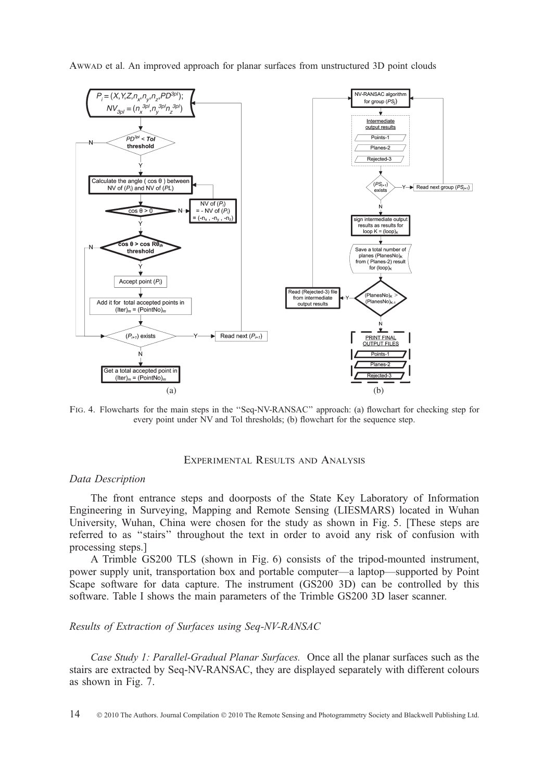

Fig. 4. Flowcharts for the main steps in the ''Seq-NV-RANSAC'' approach: (a) flowchart for checking step for every point under NV and Tol thresholds; (b) flowchart for the sequence step.

# Experimental Results and Analysis

# Data Description

The front entrance steps and doorposts of the State Key Laboratory of Information Engineering in Surveying, Mapping and Remote Sensing (LIESMARS) located in Wuhan University, Wuhan, China were chosen for the study as shown in Fig. 5. [These steps are referred to as ''stairs'' throughout the text in order to avoid any risk of confusion with processing steps.]

A Trimble GS200 TLS (shown in Fig. 6) consists of the tripod-mounted instrument, power supply unit, transportation box and portable computer—a laptop—supported by Point Scape software for data capture. The instrument (GS200 3D) can be controlled by this software. Table I shows the main parameters of the Trimble GS200 3D laser scanner.

# Results of Extraction of Surfaces using Seq-NV-RANSAC

Case Study 1: Parallel-Gradual Planar Surfaces. Once all the planar surfaces such as the stairs are extracted by Seq-NV-RANSAC, they are displayed separately with different colours as shown in Fig. 7.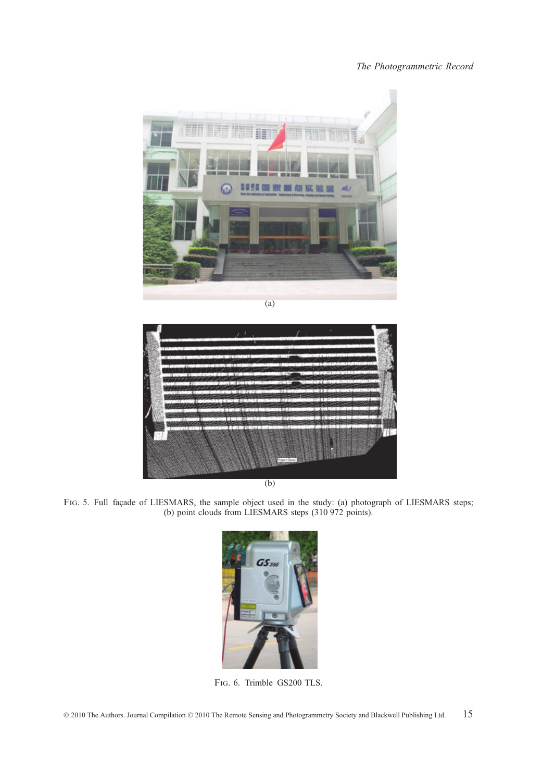# The Photogrammetric Record





FIG. 5. Full façade of LIESMARS, the sample object used in the study: (a) photograph of LIESMARS steps; (b) point clouds from LIESMARS steps (310 972 points).



Fig. 6. Trimble GS200 TLS.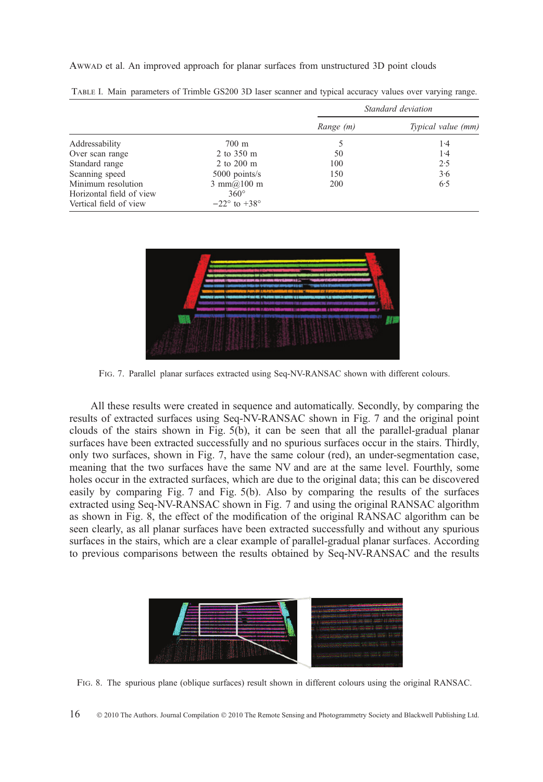|                          |                                | Standard deviation |                    |
|--------------------------|--------------------------------|--------------------|--------------------|
|                          |                                | Range (m)          | Typical value (mm) |
| Addressability           | 700 m                          |                    | 1.4                |
| Over scan range          | 2 to 350 m                     | 50                 | 1.4                |
| Standard range           | 2 to 200 m                     | 100                | 2.5                |
| Scanning speed           | $5000$ points/s                | 150                | 3.6                |
| Minimum resolution       | $3 \text{ mm}(a)100 \text{ m}$ | 200                | 6.5                |
| Horizontal field of view | $360^\circ$                    |                    |                    |
| Vertical field of view   | $-22^{\circ}$ to $+38^{\circ}$ |                    |                    |

Table I. Main parameters of Trimble GS200 3D laser scanner and typical accuracy values over varying range.



Fig. 7. Parallel planar surfaces extracted using Seq-NV-RANSAC shown with different colours.

All these results were created in sequence and automatically. Secondly, by comparing the results of extracted surfaces using Seq-NV-RANSAC shown in Fig. 7 and the original point clouds of the stairs shown in Fig. 5(b), it can be seen that all the parallel-gradual planar surfaces have been extracted successfully and no spurious surfaces occur in the stairs. Thirdly, only two surfaces, shown in Fig. 7, have the same colour (red), an under-segmentation case, meaning that the two surfaces have the same NV and are at the same level. Fourthly, some holes occur in the extracted surfaces, which are due to the original data; this can be discovered easily by comparing Fig. 7 and Fig. 5(b). Also by comparing the results of the surfaces extracted using Seq-NV-RANSAC shown in Fig. 7 and using the original RANSAC algorithm as shown in Fig. 8, the effect of the modification of the original RANSAC algorithm can be seen clearly, as all planar surfaces have been extracted successfully and without any spurious surfaces in the stairs, which are a clear example of parallel-gradual planar surfaces. According to previous comparisons between the results obtained by Seq-NV-RANSAC and the results



Fig. 8. The spurious plane (oblique surfaces) result shown in different colours using the original RANSAC.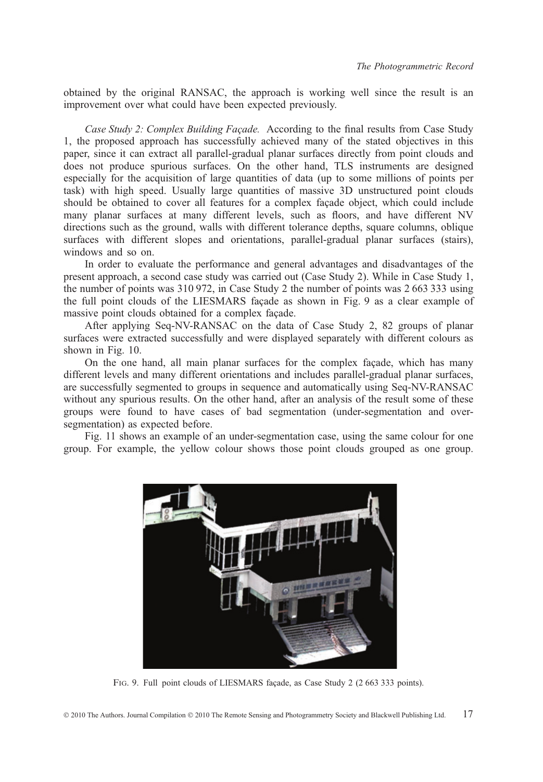obtained by the original RANSAC, the approach is working well since the result is an improvement over what could have been expected previously.

Case Study 2: Complex Building Façade. According to the final results from Case Study 1, the proposed approach has successfully achieved many of the stated objectives in this paper, since it can extract all parallel-gradual planar surfaces directly from point clouds and does not produce spurious surfaces. On the other hand, TLS instruments are designed especially for the acquisition of large quantities of data (up to some millions of points per task) with high speed. Usually large quantities of massive 3D unstructured point clouds should be obtained to cover all features for a complex facade object, which could include many planar surfaces at many different levels, such as floors, and have different NV directions such as the ground, walls with different tolerance depths, square columns, oblique surfaces with different slopes and orientations, parallel-gradual planar surfaces (stairs), windows and so on.

In order to evaluate the performance and general advantages and disadvantages of the present approach, a second case study was carried out (Case Study 2). While in Case Study 1, the number of points was 310 972, in Case Study 2 the number of points was 2 663 333 using the full point clouds of the LIESMARS facade as shown in Fig. 9 as a clear example of massive point clouds obtained for a complex façade.

After applying Seq-NV-RANSAC on the data of Case Study 2, 82 groups of planar surfaces were extracted successfully and were displayed separately with different colours as shown in Fig. 10.

On the one hand, all main planar surfaces for the complex facade, which has many different levels and many different orientations and includes parallel-gradual planar surfaces, are successfully segmented to groups in sequence and automatically using Seq-NV-RANSAC without any spurious results. On the other hand, after an analysis of the result some of these groups were found to have cases of bad segmentation (under-segmentation and oversegmentation) as expected before.

Fig. 11 shows an example of an under-segmentation case, using the same colour for one group. For example, the yellow colour shows those point clouds grouped as one group.



FIG. 9. Full point clouds of LIESMARS facade, as Case Study 2 (2 663 333 points).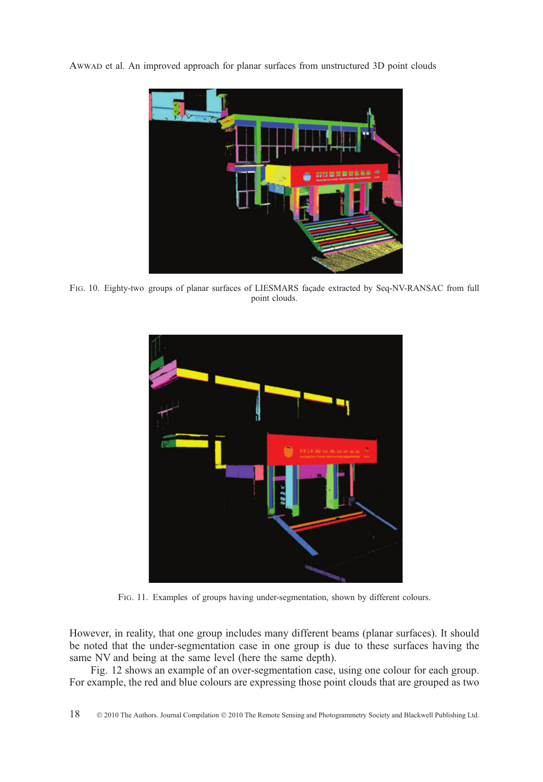

FIG. 10. Eighty-two groups of planar surfaces of LIESMARS façade extracted by Seq-NV-RANSAC from full point clouds.



FIG. 11. Examples of groups having under-segmentation, shown by different colours.

However, in reality, that one group includes many different beams (planar surfaces). It should be noted that the under-segmentation case in one group is due to these surfaces having the same NV and being at the same level (here the same depth).

Fig. 12 shows an example of an over-segmentation case, using one colour for each group. For example, the red and blue colours are expressing those point clouds that are grouped as two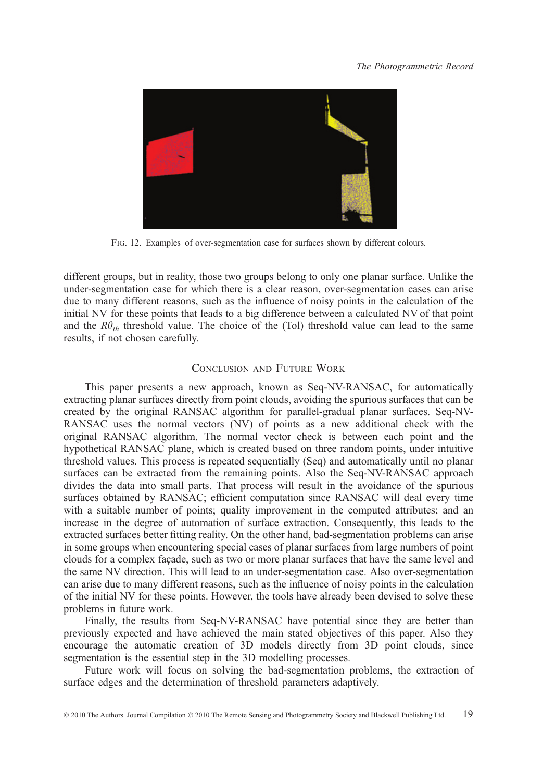

FIG. 12. Examples of over-segmentation case for surfaces shown by different colours.

different groups, but in reality, those two groups belong to only one planar surface. Unlike the under-segmentation case for which there is a clear reason, over-segmentation cases can arise due to many different reasons, such as the influence of noisy points in the calculation of the initial NV for these points that leads to a big difference between a calculated NV of that point and the  $R\theta_{th}$  threshold value. The choice of the (Tol) threshold value can lead to the same results, if not chosen carefully.

### Conclusion and Future Work

This paper presents a new approach, known as Seq-NV-RANSAC, for automatically extracting planar surfaces directly from point clouds, avoiding the spurious surfaces that can be created by the original RANSAC algorithm for parallel-gradual planar surfaces. Seq-NV-RANSAC uses the normal vectors (NV) of points as a new additional check with the original RANSAC algorithm. The normal vector check is between each point and the hypothetical RANSAC plane, which is created based on three random points, under intuitive threshold values. This process is repeated sequentially (Seq) and automatically until no planar surfaces can be extracted from the remaining points. Also the Seq-NV-RANSAC approach divides the data into small parts. That process will result in the avoidance of the spurious surfaces obtained by RANSAC; efficient computation since RANSAC will deal every time with a suitable number of points; quality improvement in the computed attributes; and an increase in the degree of automation of surface extraction. Consequently, this leads to the extracted surfaces better fitting reality. On the other hand, bad-segmentation problems can arise in some groups when encountering special cases of planar surfaces from large numbers of point clouds for a complex facade, such as two or more planar surfaces that have the same level and the same NV direction. This will lead to an under-segmentation case. Also over-segmentation can arise due to many different reasons, such as the influence of noisy points in the calculation of the initial NV for these points. However, the tools have already been devised to solve these problems in future work.

Finally, the results from Seq-NV-RANSAC have potential since they are better than previously expected and have achieved the main stated objectives of this paper. Also they encourage the automatic creation of 3D models directly from 3D point clouds, since segmentation is the essential step in the 3D modelling processes.

Future work will focus on solving the bad-segmentation problems, the extraction of surface edges and the determination of threshold parameters adaptively.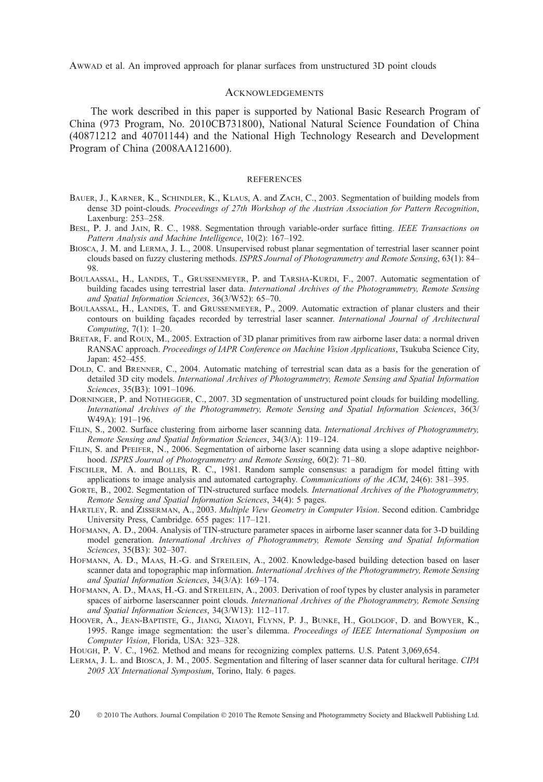# Acknowledgements

The work described in this paper is supported by National Basic Research Program of China (973 Program, No. 2010CB731800), National Natural Science Foundation of China (40871212 and 40701144) and the National High Technology Research and Development Program of China (2008AA121600).

#### **REFERENCES**

- BAUER, J., KARNER, K., SCHINDLER, K., KLAUS, A. and ZACH, C., 2003. Segmentation of building models from dense 3D point-clouds. Proceedings of 27th Workshop of the Austrian Association for Pattern Recognition, Laxenburg: 253–258.
- BESL, P. J. and JAIN, R. C., 1988. Segmentation through variable-order surface fitting. IEEE Transactions on Pattern Analysis and Machine Intelligence, 10(2): 167–192.
- Biosca, J. M. and Lerma, J. L., 2008. Unsupervised robust planar segmentation of terrestrial laser scanner point clouds based on fuzzy clustering methods. ISPRS Journal of Photogrammetry and Remote Sensing, 63(1): 84– 98.
- Boulaassal, H., Landes, T., Grussenmeyer, P. and Tarsha-Kurdi, F., 2007. Automatic segmentation of building facades using terrestrial laser data. International Archives of the Photogrammetry, Remote Sensing and Spatial Information Sciences, 36(3/W52): 65–70.
- BOULAASSAL, H., LANDES, T. and GRUSSENMEYER, P., 2009. Automatic extraction of planar clusters and their contours on building façades recorded by terrestrial laser scanner. International Journal of Architectural Computing, 7(1): 1–20.
- BRETAR, F. and ROUX, M., 2005. Extraction of 3D planar primitives from raw airborne laser data: a normal driven RANSAC approach. Proceedings of IAPR Conference on Machine Vision Applications, Tsukuba Science City, Japan: 452–455.
- DOLD, C. and BRENNER, C., 2004. Automatic matching of terrestrial scan data as a basis for the generation of detailed 3D city models. International Archives of Photogrammetry, Remote Sensing and Spatial Information Sciences, 35(B3): 1091–1096.
- DORNINGER, P. and NOTHEGGER, C., 2007. 3D segmentation of unstructured point clouds for building modelling. International Archives of the Photogrammetry, Remote Sensing and Spatial Information Sciences, 36(3/ W49A): 191–196.
- FILIN, S., 2002. Surface clustering from airborne laser scanning data. International Archives of Photogrammetry, Remote Sensing and Spatial Information Sciences, 34(3/A): 119–124.
- FILIN, S. and PFEIFER, N., 2006. Segmentation of airborne laser scanning data using a slope adaptive neighborhood. ISPRS Journal of Photogrammetry and Remote Sensing, 60(2): 71–80.
- Fischler, M. A. and Bolles, R. C., 1981. Random sample consensus: a paradigm for model fitting with applications to image analysis and automated cartography. Communications of the ACM, 24(6): 381–395.
- GORTE, B., 2002. Segmentation of TIN-structured surface models. International Archives of the Photogrammetry, Remote Sensing and Spatial Information Sciences, 34(4): 5 pages.
- HARTLEY, R. and ZISSERMAN, A., 2003. Multiple View Geometry in Computer Vision. Second edition. Cambridge University Press, Cambridge. 655 pages: 117–121.
- Hofmann, A. D., 2004. Analysis of TIN-structure parameter spaces in airborne laser scanner data for 3-D building model generation. International Archives of Photogrammetry, Remote Sensing and Spatial Information Sciences, 35(B3): 302–307.
- Hofmann, A. D., Maas, H.-G. and Streilein, A., 2002. Knowledge-based building detection based on laser scanner data and topographic map information. International Archives of the Photogrammetry, Remote Sensing and Spatial Information Sciences, 34(3/A): 169–174.
- Hofmann, A. D., Maas, H.-G. and Streilein, A., 2003. Derivation of roof types by cluster analysis in parameter spaces of airborne laserscanner point clouds. International Archives of the Photogrammetry, Remote Sensing and Spatial Information Sciences, 34(3/W13): 112–117.
- Hoover, A., Jean-Baptiste, G., Jiang, Xiaoyi, Flynn, P. J., Bunke, H., Goldgof, D. and Bowyer, K., 1995. Range image segmentation: the user's dilemma. Proceedings of IEEE International Symposium on Computer Vision, Florida, USA: 323–328.

Hough, P. V. C., 1962. Method and means for recognizing complex patterns. U.S. Patent 3,069,654.

Lerma, J. L. and Biosca, J. M., 2005. Segmentation and filtering of laser scanner data for cultural heritage. CIPA 2005 XX International Symposium, Torino, Italy. 6 pages.

20 -© 2010 The Authors. Journal Compilation © 2010 The Remote Sensing and Photogrammetry Society and Blackwell Publishing Ltd.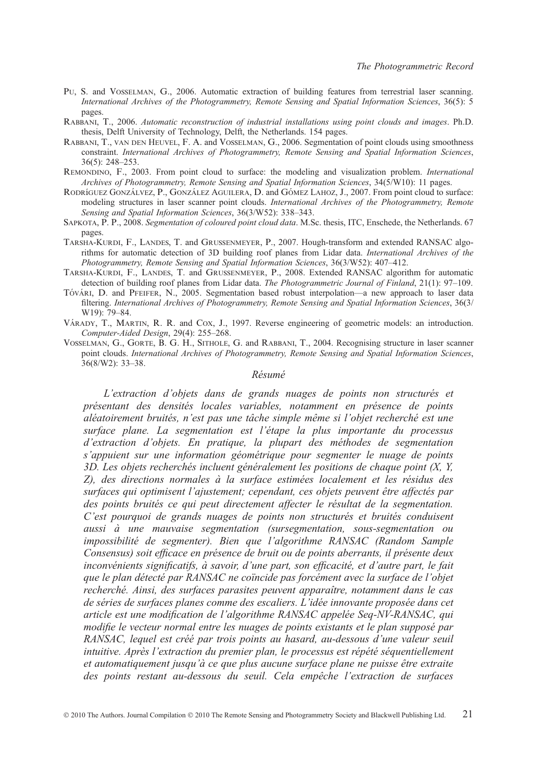- Pu, S. and Vosselman, G., 2006. Automatic extraction of building features from terrestrial laser scanning. International Archives of the Photogrammetry, Remote Sensing and Spatial Information Sciences, 36(5): 5 pages.
- Rabbani, T., 2006. Automatic reconstruction of industrial installations using point clouds and images. Ph.D. thesis, Delft University of Technology, Delft, the Netherlands. 154 pages.
- RABBANI, T., VAN DEN HEUVEL, F. A. and VOSSELMAN, G., 2006. Segmentation of point clouds using smoothness constraint. International Archives of Photogrammetry, Remote Sensing and Spatial Information Sciences, 36(5): 248–253.
- REMONDINO, F., 2003. From point cloud to surface: the modeling and visualization problem. *International* Archives of Photogrammetry, Remote Sensing and Spatial Information Sciences, 34(5/W10): 11 pages.
- RODRIGUEZ GONZÁLVEZ, P., GONZÁLEZ AGUILERA, D. and GÓMEZ LAHOZ, J., 2007. From point cloud to surface: modeling structures in laser scanner point clouds. International Archives of the Photogrammetry, Remote Sensing and Spatial Information Sciences, 36(3/W52): 338–343.
- Sapkota, P. P., 2008. Segmentation of coloured point cloud data. M.Sc. thesis, ITC, Enschede, the Netherlands. 67 pages.
- Tarsha-Kurdi, F., Landes, T. and Grussenmeyer, P., 2007. Hough-transform and extended RANSAC algorithms for automatic detection of 3D building roof planes from Lidar data. International Archives of the Photogrammetry, Remote Sensing and Spatial Information Sciences, 36(3/W52): 407–412.
- Tarsha-Kurdi, F., Landes, T. and Grussenmeyer, P., 2008. Extended RANSAC algorithm for automatic detection of building roof planes from Lidar data. The Photogrammetric Journal of Finland, 21(1): 97–109.
- Tóvári, D. and PFEIFER, N., 2005. Segmentation based robust interpolation—a new approach to laser data filtering. International Archives of Photogrammetry, Remote Sensing and Spatial Information Sciences, 36(3/ W19): 79–84.
- VÁRADY, T., MARTIN, R. R. and Cox, J., 1997. Reverse engineering of geometric models: an introduction. Computer-Aided Design, 29(4): 255–268.
- Vosselman, G., Gorte, B. G. H., Sithole, G. and Rabbani, T., 2004. Recognising structure in laser scanner point clouds. International Archives of Photogrammetry, Remote Sensing and Spatial Information Sciences, 36(8/W2): 33–38.

### **Résumé**

L'extraction d'objets dans de grands nuages de points non structurés et présentant des densités locales variables, notamment en présence de points aléatoirement bruités, n'est pas une tâche simple même si l'objet recherché est une surface plane. La segmentation est l'étape la plus importante du processus d'extraction d'objets. En pratique, la plupart des méthodes de segmentation s'appuient sur une information géométrique pour segmenter le nuage de points  $3D$ . Les objets recherchés incluent généralement les positions de chaque point  $(X, Y)$ , Z), des directions normales à la surface estimées localement et les résidus des surfaces qui optimisent l'ajustement; cependant, ces objets peuvent être affectés par des points bruités ce qui peut directement affecter le résultat de la segmentation.  $C$ 'est pourquoi de grands nuages de points non structurés et bruités conduisent aussi a` une mauvaise segmentation (sursegmentation, sous-segmentation ou impossibilité de segmenter). Bien que l'algorithme RANSAC (Random Sample Consensus) soit efficace en présence de bruit ou de points aberrants, il présente deux inconvénients significatifs, à savoir, d'une part, son efficacité, et d'autre part, le fait que le plan détecté par RANSAC ne coïncide pas forcément avec la surface de l'objet recherché. Ainsi, des surfaces parasites peuvent apparaître, notamment dans le cas de séries de surfaces planes comme des escaliers. L'idée innovante proposée dans cet article est une modification de l'algorithme RANSAC appelée Seq-NV-RANSAC, qui modifie le vecteur normal entre les nuages de points existants et le plan supposé par RANSAC, lequel est créé par trois points au hasard, au-dessous d'une valeur seuil intuitive. Après l'extraction du premier plan, le processus est répété séquentiellement et automatiquement jusqu'à ce que plus aucune surface plane ne puisse être extraite des points restant au-dessous du seuil. Cela empêche l'extraction de surfaces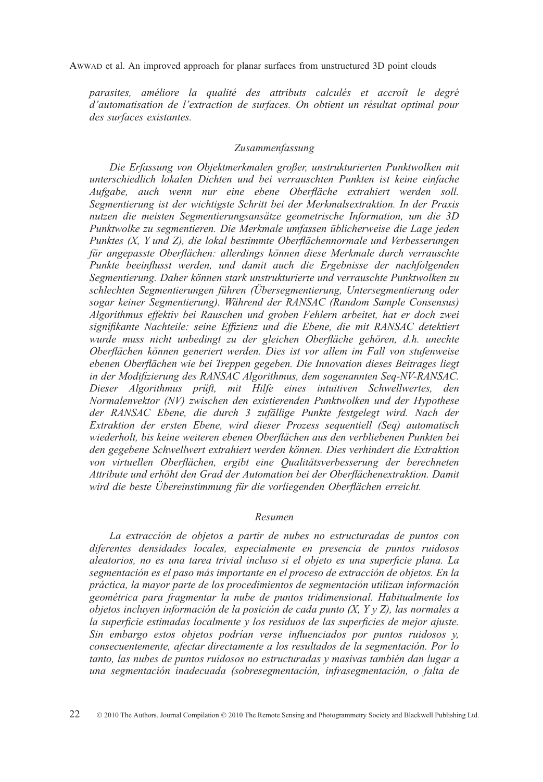parasites, améliore la qualité des attributs calculés et accroît le degré d'automatisation de l'extraction de surfaces. On obtient un résultat optimal pour des surfaces existantes.

## Zusammenfassung

Die Erfassung von Objektmerkmalen großer, unstrukturierten Punktwolken mit unterschiedlich lokalen Dichten und bei verrauschten Punkten ist keine einfache Aufgabe, auch wenn nur eine ebene Oberfläche extrahiert werden soll. Segmentierung ist der wichtigste Schritt bei der Merkmalsextraktion. In der Praxis nutzen die meisten Segmentierungsansätze geometrische Information, um die 3D Punktwolke zu segmentieren. Die Merkmale umfassen üblicherweise die Lage jeden Punktes (X, Y und Z), die lokal bestimmte Oberflächennormale und Verbesserungen für angepasste Oberflächen: allerdings können diese Merkmale durch verrauschte Punkte beeinflusst werden, und damit auch die Ergebnisse der nachfolgenden Segmentierung. Daher können stark unstrukturierte und verrauschte Punktwolken zu schlechten Segmentierungen führen (Übersegmentierung, Untersegmentierung oder sogar keiner Segmentierung). Während der RANSAC (Random Sample Consensus) Algorithmus effektiv bei Rauschen und groben Fehlern arbeitet, hat er doch zwei signifikante Nachteile: seine Effizienz und die Ebene, die mit RANSAC detektiert wurde muss nicht unbedingt zu der gleichen Oberfläche gehören, d.h. unechte Oberflächen können generiert werden. Dies ist vor allem im Fall von stufenweise ebenen Oberfla¨chen wie bei Treppen gegeben. Die Innovation dieses Beitrages liegt in der Modifizierung des RANSAC Algorithmus, dem sogenannten Seq-NV-RANSAC. Dieser Algorithmus prüft, mit Hilfe eines intuitiven Schwellwertes, den Normalenvektor (NV) zwischen den existierenden Punktwolken und der Hypothese der RANSAC Ebene, die durch 3 zufällige Punkte festgelegt wird. Nach der Extraktion der ersten Ebene, wird dieser Prozess sequentiell (Seq) automatisch wiederholt, bis keine weiteren ebenen Oberflächen aus den verbliebenen Punkten bei den gegebene Schwellwert extrahiert werden können. Dies verhindert die Extraktion von virtuellen Oberflächen, ergibt eine Qualitätsverbesserung der berechneten Attribute und erhöht den Grad der Automation bei der Oberflächenextraktion. Damit wird die beste Übereinstimmung für die vorliegenden Oberflächen erreicht.

# Resumen

La extracción de objetos a partir de nubes no estructuradas de puntos con diferentes densidades locales, especialmente en presencia de puntos ruidosos aleatorios, no es una tarea trivial incluso si el objeto es una superficie plana. La segmentación es el paso más importante en el proceso de extracción de objetos. En la práctica, la mayor parte de los procedimientos de segmentación utilizan información geométrica para fragmentar la nube de puntos tridimensional. Habitualmente los objetos incluyen información de la posición de cada punto  $(X, Y, Y, Z)$ , las normales a la superficie estimadas localmente y los residuos de las superficies de mejor ajuste. Sin embargo estos objetos podrían verse influenciados por puntos ruidosos y, consecuentemente, afectar directamente a los resultados de la segmentación. Por lo tanto, las nubes de puntos ruidosos no estructuradas y masivas también dan lugar a una segmentación inadecuada (sobresegmentación, infrasegmentación, o falta de